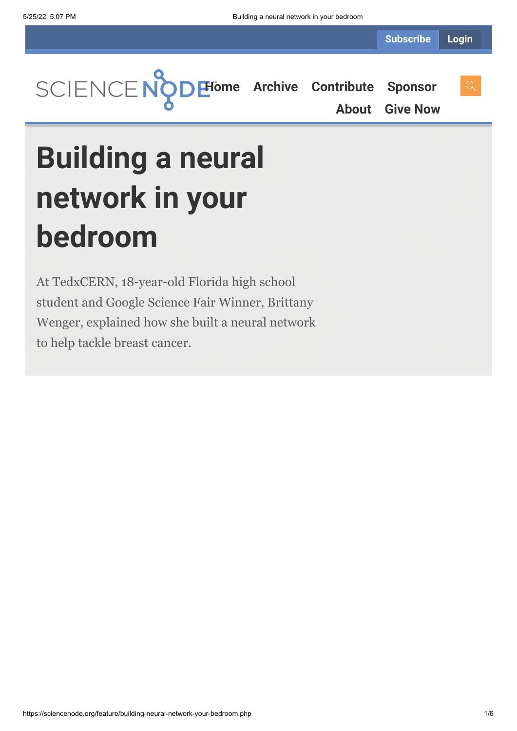

**[About](https://sciencenode.org/about/index.php) [Give Now](https://sciencenode.org/donate/index.php)**

**Building a neural network in your bedroom**

At TedxCERN, 18-year-old Florida high school student and Google Science Fair Winner, Brittany Wenger, explained how she built a neural network to help tackle breast cancer.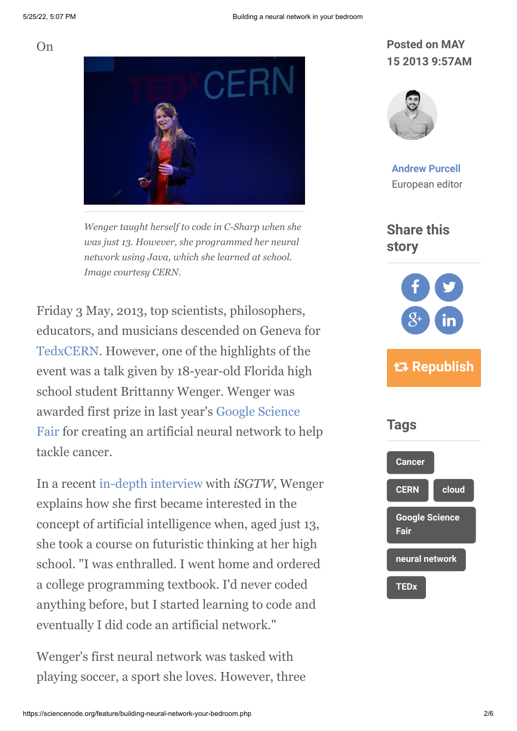$On$ 



*Wenger taught herself to code in C-Sharp when she was just 13. However, she programmed her neural network using Java, which she learned at school. Image courtesy CERN.*

Friday 3 May, 2013, top scientists, philosophers, educators, and musicians descended on Geneva for [TedxCERN.](http://tedxcern.web.cern.ch/) However, one of the highlights of the event was a talk given by 18-year-old Florida high school student Brittanny Wenger. Wenger was [awarded first prize in last year's Google Science](https://www.googlesciencefair.com/de_ALL/2013/) Fair for creating an artificial neural network to help tackle cancer.

In a recent [in-depth interview](http://www.isgtw.org/feature/google-science-fair-winner-builds-neural-network-fight-cancer) with *iSGTW*, Wenger explains how she first became interested in the concept of artificial intelligence when, aged just 13, she took a course on futuristic thinking at her high school. "I was enthralled. I went home and ordered a college programming textbook. I'd never coded anything before, but I started learning to code and eventually I did code an artificial network."

Wenger's first neural network was tasked with playing soccer, a sport she loves. However, three

### **Posted on MAY 15 2013 9:57AM**



**[Andrew Purcell](https://sciencenode.org/author/andrew-purcell.php)** European editor

### **Share this story**



# **Republish**

# **Tags**

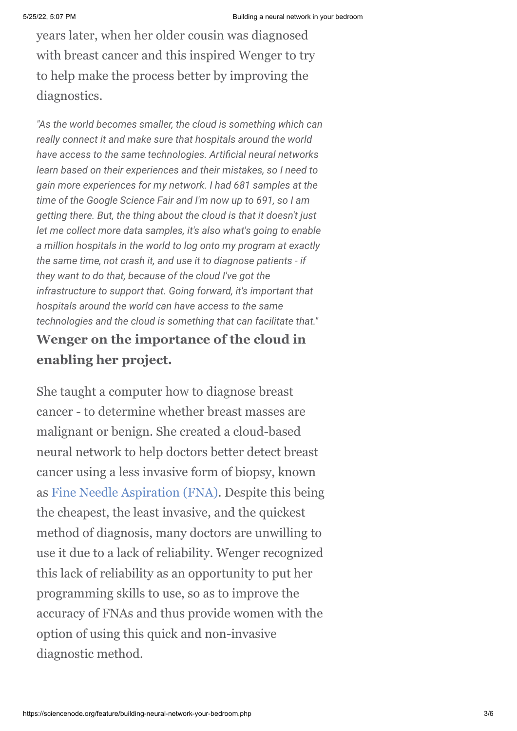years later, when her older cousin was diagnosed with breast cancer and this inspired Wenger to try to help make the process better by improving the diagnostics.

*"As the world becomes smaller, the cloud is something which can really connect it and make sure that hospitals around the world have access to the same technologies. Artificial neural networks learn based on their experiences and their mistakes, so I need to gain more experiences for my network. I had 681 samples at the time of the Google Science Fair and I'm now up to 691, so I am getting there. But, the thing about the cloud is that it doesn't just let me collect more data samples, it's also what's going to enable a million hospitals in the world to log onto my program at exactly the same time, not crash it, and use it to diagnose patients - if they want to do that, because of the cloud I've got the infrastructure to support that. Going forward, it's important that hospitals around the world can have access to the same technologies and the cloud is something that can facilitate that."*

### **Wenger on the importance of the cloud in enabling her project.**

She taught a computer how to diagnose breast cancer - to determine whether breast masses are malignant or benign. She created a cloud-based neural network to help doctors better detect breast cancer using a less invasive form of biopsy, known as [Fine Needle Aspiration \(FNA\)](http://en.wikipedia.org/wiki/Fine-needle_aspiration). Despite this being the cheapest, the least invasive, and the quickest method of diagnosis, many doctors are unwilling to use it due to a lack of reliability. Wenger recognized this lack of reliability as an opportunity to put her programming skills to use, so as to improve the accuracy of FNAs and thus provide women with the option of using this quick and non-invasive diagnostic method.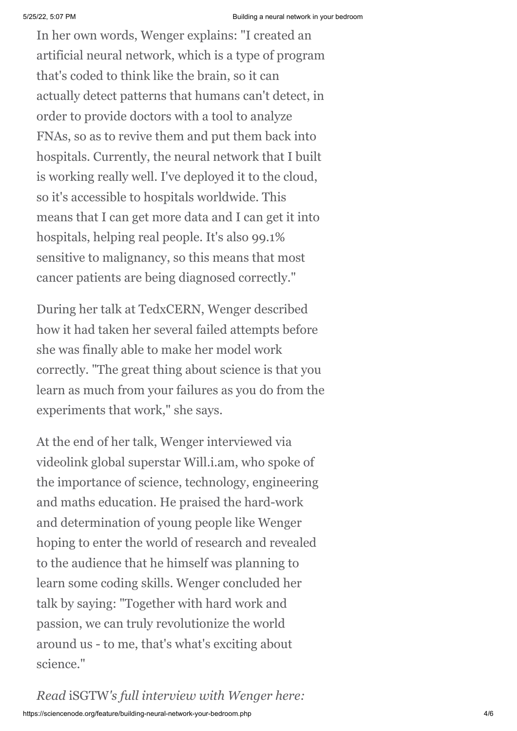In her own words, Wenger explains: "I created an artificial neural network, which is a type of program that's coded to think like the brain, so it can actually detect patterns that humans can't detect, in order to provide doctors with a tool to analyze FNAs, so as to revive them and put them back into hospitals. Currently, the neural network that I built is working really well. I've deployed it to the cloud, so it's accessible to hospitals worldwide. This means that I can get more data and I can get it into hospitals, helping real people. It's also 99.1% sensitive to malignancy, so this means that most cancer patients are being diagnosed correctly."

During her talk at TedxCERN, Wenger described how it had taken her several failed attempts before she was finally able to make her model work correctly. "The great thing about science is that you learn as much from your failures as you do from the experiments that work," she says.

At the end of her talk, Wenger interviewed via videolink global superstar Will.i.am, who spoke of the importance of science, technology, engineering and maths education. He praised the hard-work and determination of young people like Wenger hoping to enter the world of research and revealed to the audience that he himself was planning to learn some coding skills. Wenger concluded her talk by saying: "Together with hard work and passion, we can truly revolutionize the world around us - to me, that's what's exciting about science."

https://sciencenode.org/feature/building-neural-network-your-bedroom.php 4/6 *Read* iSGTW*'s full interview with Wenger here:*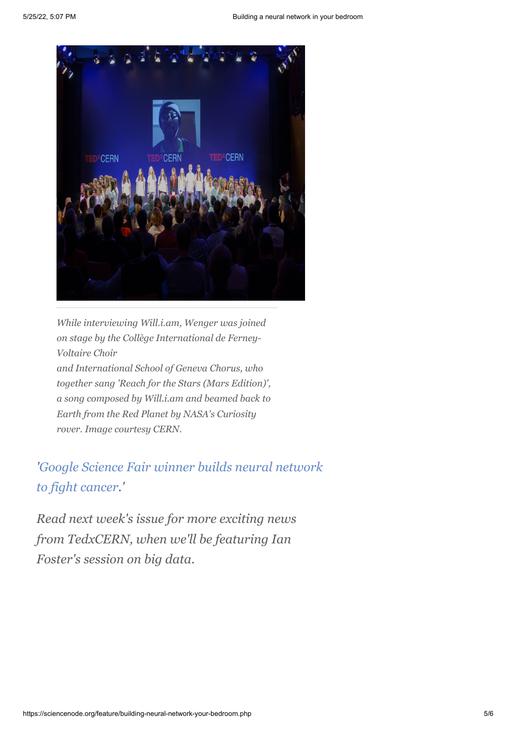

*While interviewing Will.i.am, Wenger was joined on stage by the Collège International de Ferney-Voltaire Choir and International School of Geneva Chorus, who together sang 'Reach for the Stars (Mars Edition)', a song composed by Will.i.am and beamed back to Earth from the Red Planet by NASA's Curiosity rover. Image courtesy CERN.*

*['Google Science Fair winner builds neural network](http://www.isgtw.org/feature/google-science-fair-winner-builds-neural-network-fight-cancer) to fight cancer.'*

*Read next week's issue for more exciting news from TedxCERN, when we'll be featuring Ian Foster's session on big data.*